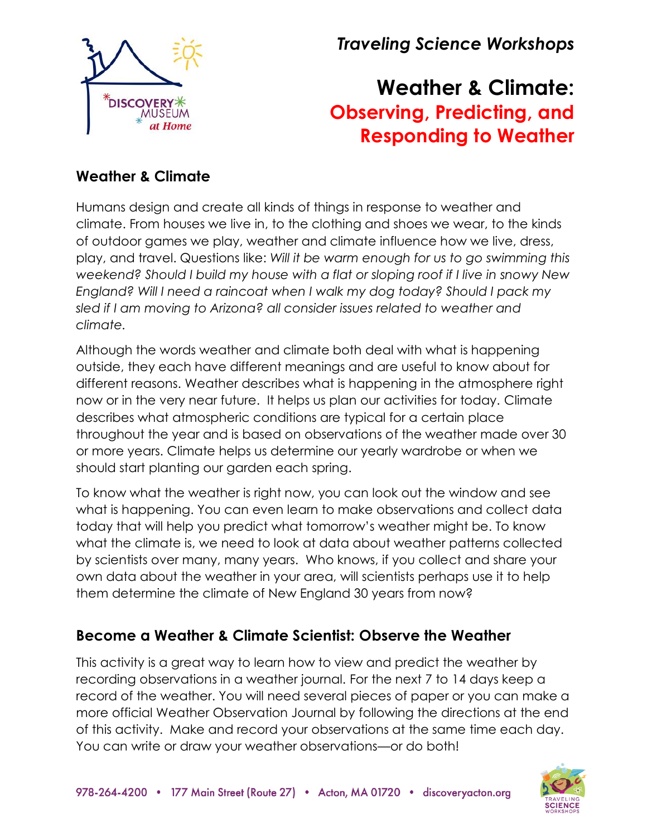

*Traveling Science Workshops*

# **Weather & Climate: Observing, Predicting, and Responding to Weather**

# **Weather & Climate**

Humans design and create all kinds of things in response to weather and climate. From houses we live in, to the clothing and shoes we wear, to the kinds of outdoor games we play, weather and climate influence how we live, dress, play, and travel. Questions like: *Will it be warm enough for us to go swimming this weekend? Should I build my house with a flat or sloping roof if I live in snowy New England? Will I need a raincoat when I walk my dog today? Should I pack my sled if I am moving to Arizona? all consider issues related to weather and climate.* 

Although the words weather and climate both deal with what is happening outside, they each have different meanings and are useful to know about for different reasons. Weather describes what is happening in the atmosphere right now or in the very near future. It helps us plan our activities for today. Climate describes what atmospheric conditions are typical for a certain place throughout the year and is based on observations of the weather made over 30 or more years. Climate helps us determine our yearly wardrobe or when we should start planting our garden each spring.

To know what the weather is right now, you can look out the window and see what is happening. You can even learn to make observations and collect data today that will help you predict what tomorrow's weather might be. To know what the climate is, we need to look at data about weather patterns collected by scientists over many, many years. Who knows, if you collect and share your own data about the weather in your area, will scientists perhaps use it to help them determine the climate of New England 30 years from now?

# **Become a Weather & Climate Scientist: Observe the Weather**

This activity is a great way to learn how to view and predict the weather by recording observations in a weather journal. For the next 7 to 14 days keep a record of the weather. You will need several pieces of paper or you can make a more official Weather Observation Journal by following the directions at the end of this activity. Make and record your observations at the same time each day. You can write or draw your weather observations—or do both!

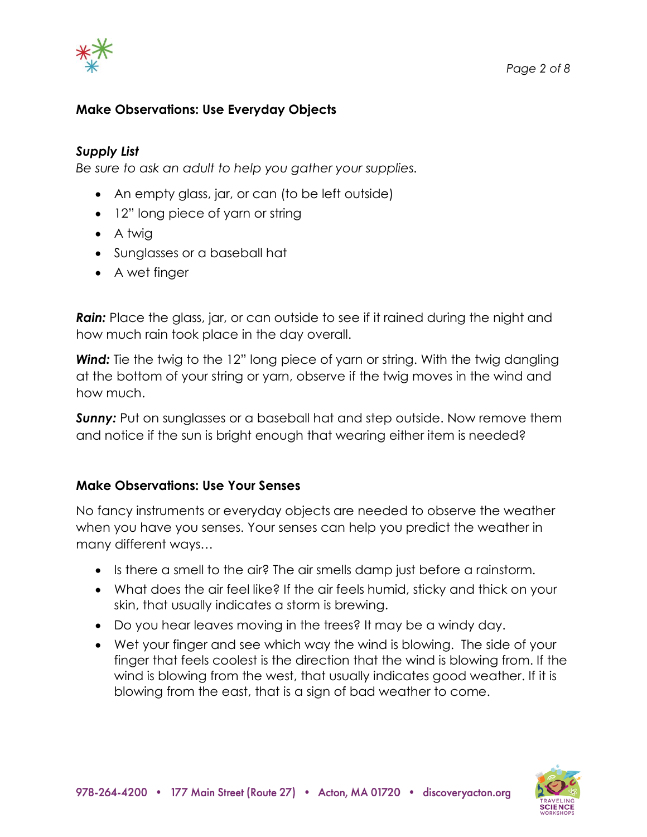

## **Make Observations: Use Everyday Objects**

#### *Supply List*

*Be sure to ask an adult to help you gather your supplies.*

- An empty glass, jar, or can (to be left outside)
- 12" long piece of yarn or string
- A twig
- Sunglasses or a baseball hat
- A wet finger

**Rain:** Place the glass, jar, or can outside to see if it rained during the night and how much rain took place in the day overall.

**Wind:** Tie the twig to the 12" long piece of yarn or string. With the twig dangling at the bottom of your string or yarn, observe if the twig moves in the wind and how much.

*Sunny:* Put on sunglasses or a baseball hat and step outside. Now remove them and notice if the sun is bright enough that wearing either item is needed?

## **Make Observations: Use Your Senses**

No fancy instruments or everyday objects are needed to observe the weather when you have you senses. Your senses can help you predict the weather in many different ways…

- Is there a smell to the air? The air smells damp just before a rainstorm.
- What does the air feel like? If the air feels humid, sticky and thick on your skin, that usually indicates a storm is brewing.
- Do you hear leaves moving in the trees? It may be a windy day.
- Wet your finger and see which way the wind is blowing. The side of your finger that feels coolest is the direction that the wind is blowing from. If the wind is blowing from the west, that usually indicates good weather. If it is blowing from the east, that is a sign of bad weather to come.

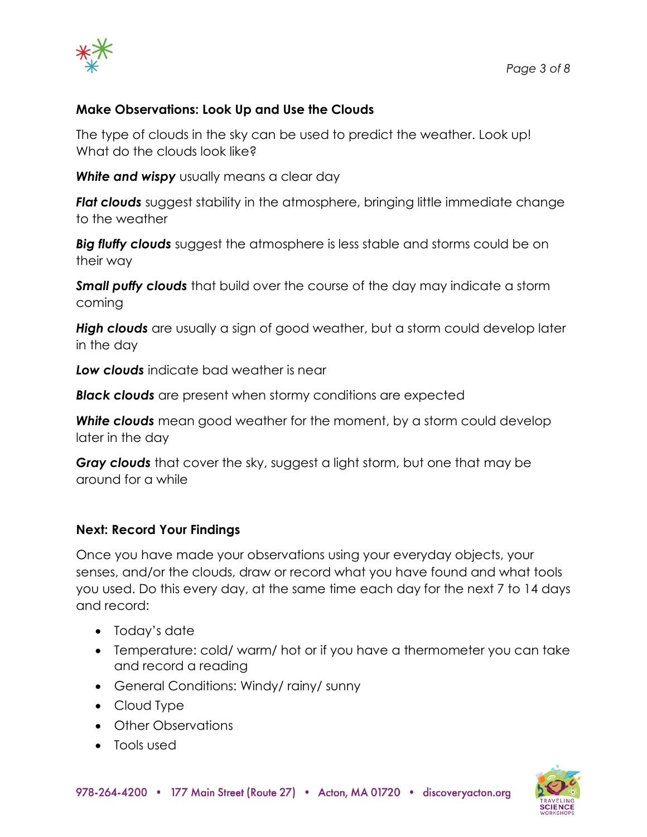

## **Make Observations: Look Up and Use the Clouds**

The type of clouds in the sky can be used to predict the weather. Look up! What do the clouds look like?

**White and wispy** usually means a clear day

**Flat clouds** suggest stability in the atmosphere, bringing little immediate change to the weather

*Big fluffy clouds* suggest the atmosphere is less stable and storms could be on their way

*Small puffy clouds* that build over the course of the day may indicate a storm coming

*High clouds* are usually a sign of good weather, but a storm could develop later in the day

*Low clouds* indicate bad weather is near

*Black clouds* are present when stormy conditions are expected

*White clouds* mean good weather for the moment, by a storm could develop later in the day

*Gray clouds* that cover the sky, suggest a light storm, but one that may be around for a while

#### **Next: Record Your Findings**

Once you have made your observations using your everyday objects, your senses, and/or the clouds, draw or record what you have found and what tools you used. Do this every day, at the same time each day for the next 7 to 14 days and record:

- Today's date
- Temperature: cold/ warm/ hot or if you have a thermometer you can take and record a reading
- General Conditions: Windy/ rainy/ sunny
- Cloud Type
- Other Observations
- Tools used

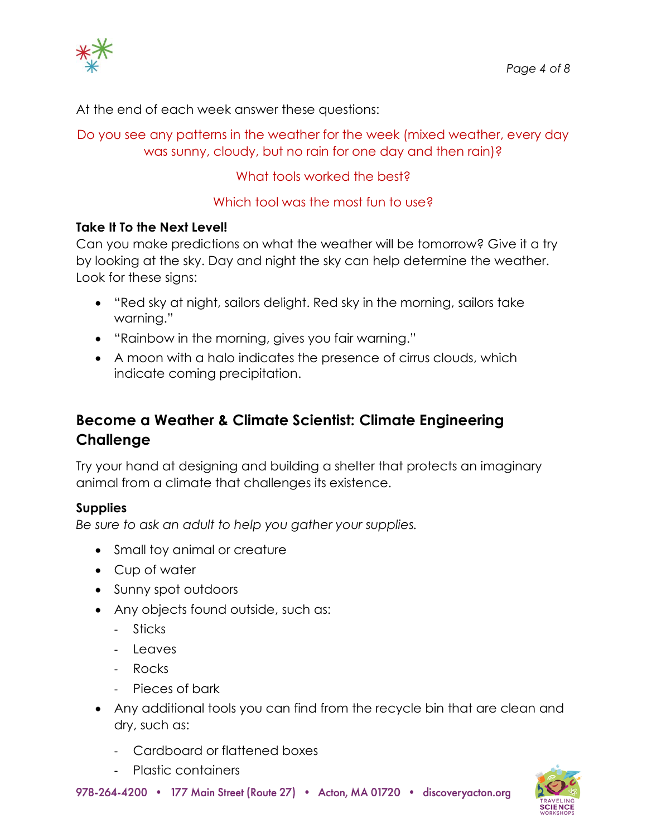

At the end of each week answer these questions:

Do you see any patterns in the weather for the week (mixed weather, every day was sunny, cloudy, but no rain for one day and then rain)?

What tools worked the best?

# Which tool was the most fun to use?

# **Take It To the Next Level!**

Can you make predictions on what the weather will be tomorrow? Give it a try by looking at the sky. Day and night the sky can help determine the weather. Look for these signs:

- "Red sky at night, sailors delight. Red sky in the morning, sailors take warning."
- "Rainbow in the morning, gives you fair warning."
- A moon with a halo indicates the presence of cirrus clouds, which indicate coming precipitation.

# **Become a Weather & Climate Scientist: Climate Engineering Challenge**

Try your hand at designing and building a shelter that protects an imaginary animal from a climate that challenges its existence.

## **Supplies**

*Be sure to ask an adult to help you gather your supplies.*

- Small toy animal or creature
- Cup of water
- Sunny spot outdoors
- Any objects found outside, such as:
	- Sticks
	- Leaves
	- Rocks
	- Pieces of bark
- Any additional tools you can find from the recycle bin that are clean and dry, such as:
	- Cardboard or flattened boxes
	- Plastic containers

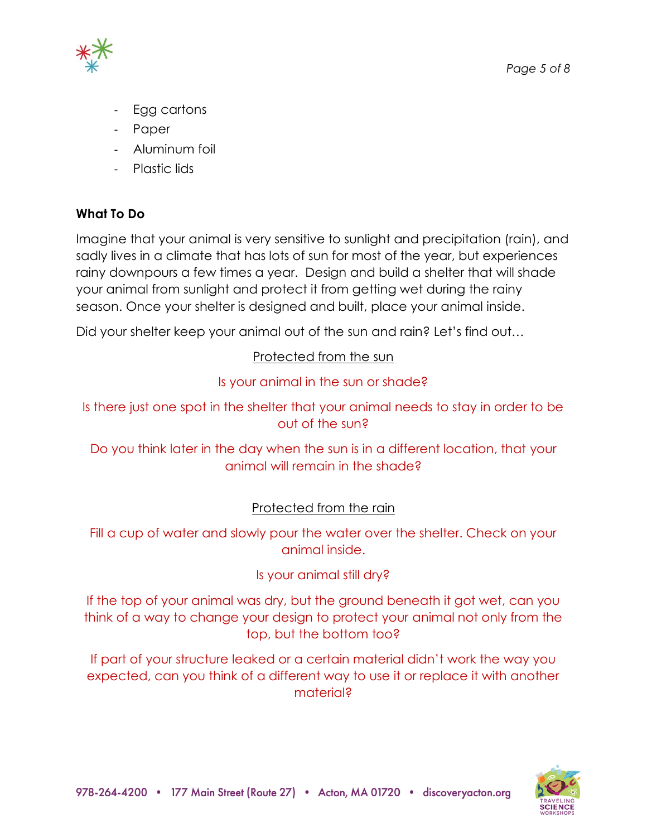

- Egg cartons
- Paper
- Aluminum foil
- Plastic lids

# **What To Do**

Imagine that your animal is very sensitive to sunlight and precipitation (rain), and sadly lives in a climate that has lots of sun for most of the year, but experiences rainy downpours a few times a year. Design and build a shelter that will shade your animal from sunlight and protect it from getting wet during the rainy season. Once your shelter is designed and built, place your animal inside.

Did your shelter keep your animal out of the sun and rain? Let's find out...

# Protected from the sun

## Is your animal in the sun or shade?

Is there just one spot in the shelter that your animal needs to stay in order to be out of the sun?

Do you think later in the day when the sun is in a different location, that your animal will remain in the shade?

## Protected from the rain

Fill a cup of water and slowly pour the water over the shelter. Check on your animal inside.

## Is your animal still dry?

If the top of your animal was dry, but the ground beneath it got wet, can you think of a way to change your design to protect your animal not only from the top, but the bottom too?

If part of your structure leaked or a certain material didn't work the way you expected, can you think of a different way to use it or replace it with another material?

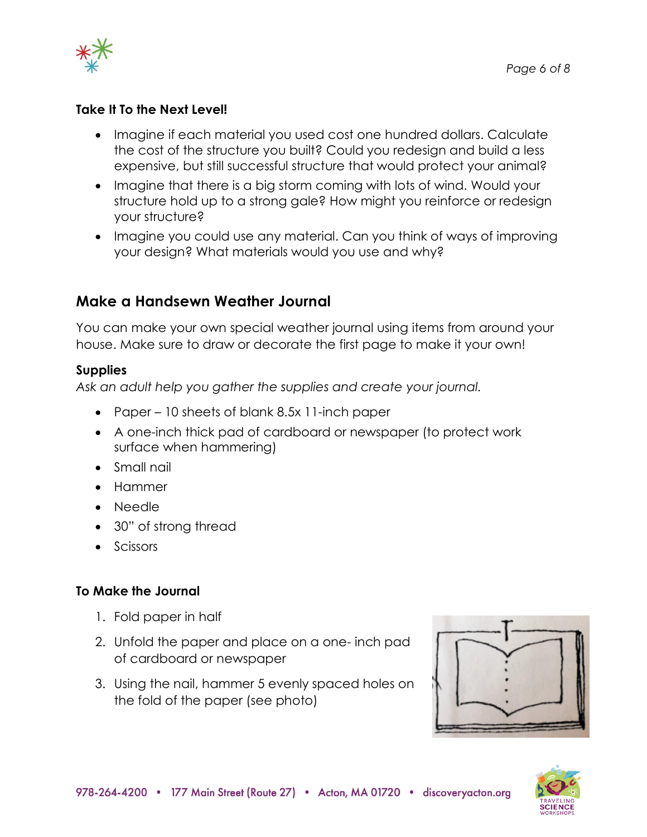

## **Take It To the Next Level!**

- Imagine if each material you used cost one hundred dollars. Calculate the cost of the structure you built? Could you redesign and build a less expensive, but still successful structure that would protect your animal?
- Imagine that there is a big storm coming with lots of wind. Would your structure hold up to a strong gale? How might you reinforce or redesign your structure?
- Imagine you could use any material. Can you think of ways of improving your design? What materials would you use and why?

# **Make a Handsewn Weather Journal**

You can make your own special weather journal using items from around your house. Make sure to draw or decorate the first page to make it your own!

#### **Supplies**

*Ask an adult help you gather the supplies and create your journal.*

- Paper 10 sheets of blank 8.5x 11-inch paper
- A one-inch thick pad of cardboard or newspaper (to protect work surface when hammering)
- Small nail
- Hammer
- Needle
- 30" of strong thread
- Scissors

## **To Make the Journal**

- 1. Fold paper in half
- 2. Unfold the paper and place on a one- inch pad of cardboard or newspaper
- 3. Using the nail, hammer 5 evenly spaced holes on the fold of the paper (see photo)



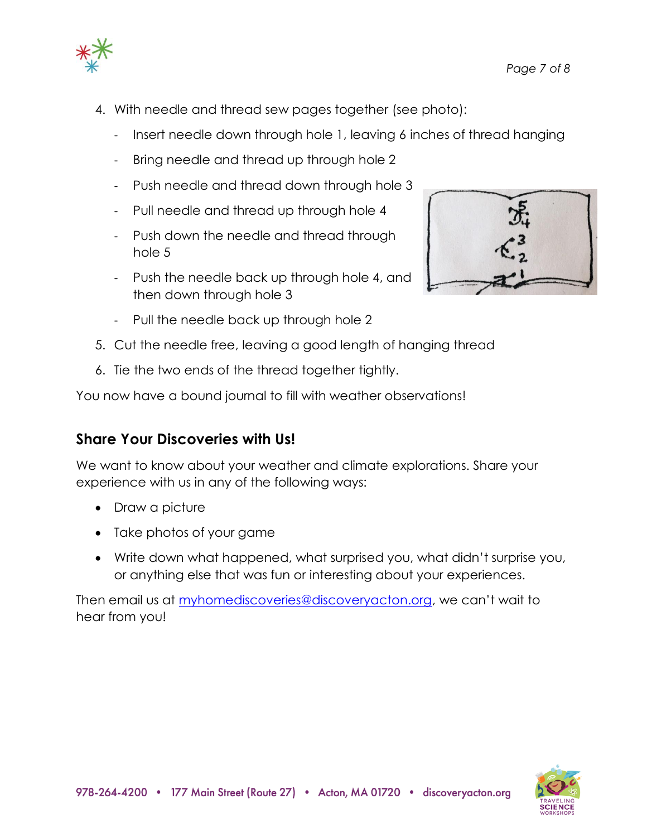

- 4. With needle and thread sew pages together (see photo):
	- Insert needle down through hole 1, leaving 6 inches of thread hanging
	- Bring needle and thread up through hole 2
	- Push needle and thread down through hole 3
	- Pull needle and thread up through hole 4
	- Push down the needle and thread through hole 5
	- Push the needle back up through hole 4, and then down through hole 3



- 5. Cut the needle free, leaving a good length of hanging thread
- 6. Tie the two ends of the thread together tightly.

You now have a bound journal to fill with weather observations!

# **Share Your Discoveries with Us!**

We want to know about your weather and climate explorations. Share your experience with us in any of the following ways:

- Draw a picture
- Take photos of your game
- Write down what happened, what surprised you, what didn't surprise you, or anything else that was fun or interesting about your experiences.

Then email us at [myhomediscoveries@discoveryacton.org](mailto:myhomediscoveries@discoveryacton.org), we can't wait to hear from you!